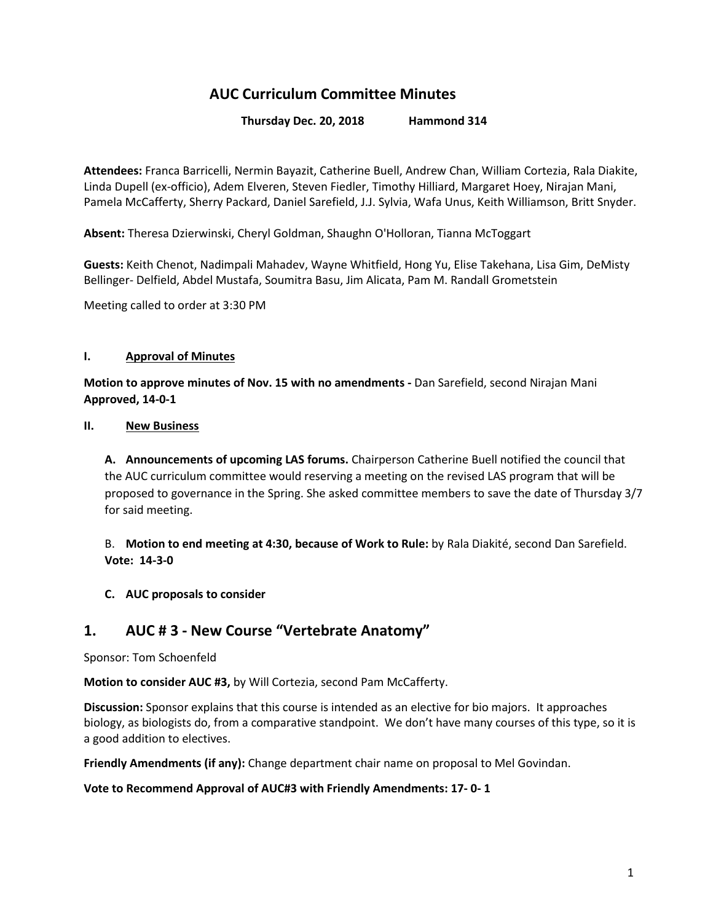# **AUC Curriculum Committee Minutes**

**Thursday Dec. 20, 2018 Hammond 314**

**Attendees:** Franca Barricelli, Nermin Bayazit, Catherine Buell, Andrew Chan, William Cortezia, Rala Diakite, Linda Dupell (ex-officio), Adem Elveren, Steven Fiedler, Timothy Hilliard, Margaret Hoey, Nirajan Mani, Pamela McCafferty, Sherry Packard, Daniel Sarefield, J.J. Sylvia, Wafa Unus, Keith Williamson, Britt Snyder.

**Absent:** Theresa Dzierwinski, Cheryl Goldman, Shaughn O'Holloran, Tianna McToggart

**Guests:** Keith Chenot, Nadimpali Mahadev, Wayne Whitfield, Hong Yu, Elise Takehana, Lisa Gim, DeMisty Bellinger- Delfield, Abdel Mustafa, Soumitra Basu, Jim Alicata, Pam M. Randall Grometstein

Meeting called to order at 3:30 PM

### **I. Approval of Minutes**

**Motion to approve minutes of Nov. 15 with no amendments -** Dan Sarefield, second Nirajan Mani **Approved, 14-0-1**

#### **II. New Business**

**A. Announcements of upcoming LAS forums.** Chairperson Catherine Buell notified the council that the AUC curriculum committee would reserving a meeting on the revised LAS program that will be proposed to governance in the Spring. She asked committee members to save the date of Thursday 3/7 for said meeting.

B. **Motion to end meeting at 4:30, because of Work to Rule:** by Rala Diakité, second Dan Sarefield. **Vote: 14-3-0**

### **C. AUC proposals to consider**

## **1. AUC # 3 - New Course "Vertebrate Anatomy"**

Sponsor: Tom Schoenfeld

**Motion to consider AUC #3,** by Will Cortezia, second Pam McCafferty.

**Discussion:** Sponsor explains that this course is intended as an elective for bio majors. It approaches biology, as biologists do, from a comparative standpoint. We don't have many courses of this type, so it is a good addition to electives.

**Friendly Amendments (if any):** Change department chair name on proposal to Mel Govindan.

**Vote to Recommend Approval of AUC#3 with Friendly Amendments: 17- 0- 1**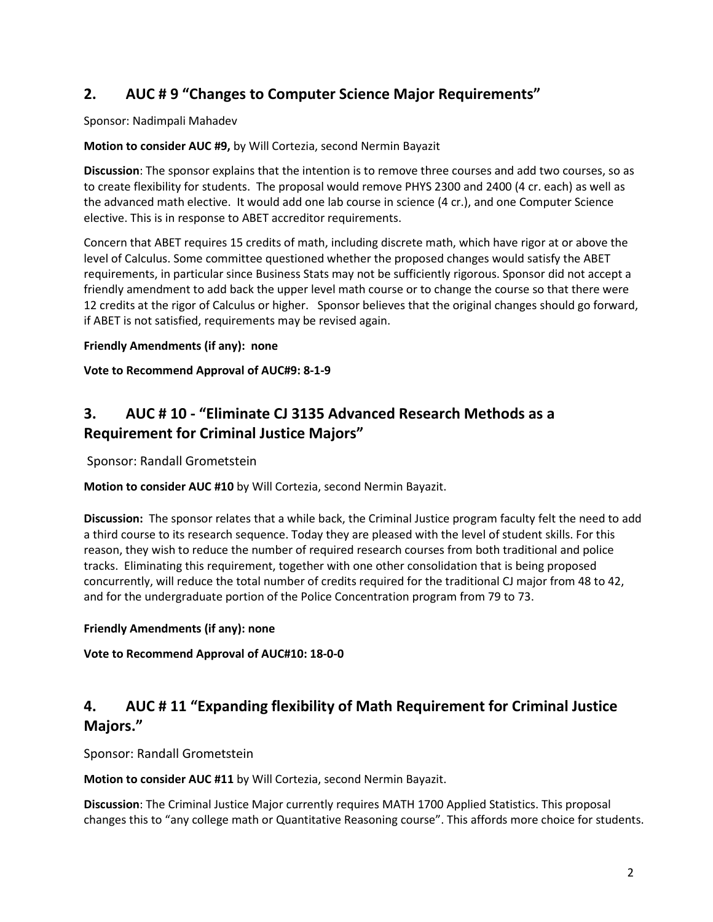# **2. AUC # 9 "Changes to Computer Science Major Requirements"**

Sponsor: Nadimpali Mahadev

### **Motion to consider AUC #9,** by Will Cortezia, second Nermin Bayazit

**Discussion**: The sponsor explains that the intention is to remove three courses and add two courses, so as to create flexibility for students. The proposal would remove PHYS 2300 and 2400 (4 cr. each) as well as the advanced math elective. It would add one lab course in science (4 cr.), and one Computer Science elective. This is in response to ABET accreditor requirements.

Concern that ABET requires 15 credits of math, including discrete math, which have rigor at or above the level of Calculus. Some committee questioned whether the proposed changes would satisfy the ABET requirements, in particular since Business Stats may not be sufficiently rigorous. Sponsor did not accept a friendly amendment to add back the upper level math course or to change the course so that there were 12 credits at the rigor of Calculus or higher. Sponsor believes that the original changes should go forward, if ABET is not satisfied, requirements may be revised again.

### **Friendly Amendments (if any): none**

### **Vote to Recommend Approval of AUC#9: 8-1-9**

# **3. AUC # 10 - "Eliminate CJ 3135 Advanced Research Methods as a Requirement for Criminal Justice Majors"**

Sponsor: Randall Grometstein

**Motion to consider AUC #10** by Will Cortezia, second Nermin Bayazit.

**Discussion:** The sponsor relates that a while back, the Criminal Justice program faculty felt the need to add a third course to its research sequence. Today they are pleased with the level of student skills. For this reason, they wish to reduce the number of required research courses from both traditional and police tracks. Eliminating this requirement, together with one other consolidation that is being proposed concurrently, will reduce the total number of credits required for the traditional CJ major from 48 to 42, and for the undergraduate portion of the Police Concentration program from 79 to 73.

### **Friendly Amendments (if any): none**

**Vote to Recommend Approval of AUC#10: 18-0-0**

# **4. AUC # 11 "Expanding flexibility of Math Requirement for Criminal Justice Majors."**

Sponsor: Randall Grometstein

**Motion to consider AUC #11** by Will Cortezia, second Nermin Bayazit.

**Discussion**: The Criminal Justice Major currently requires MATH 1700 Applied Statistics. This proposal changes this to "any college math or Quantitative Reasoning course". This affords more choice for students.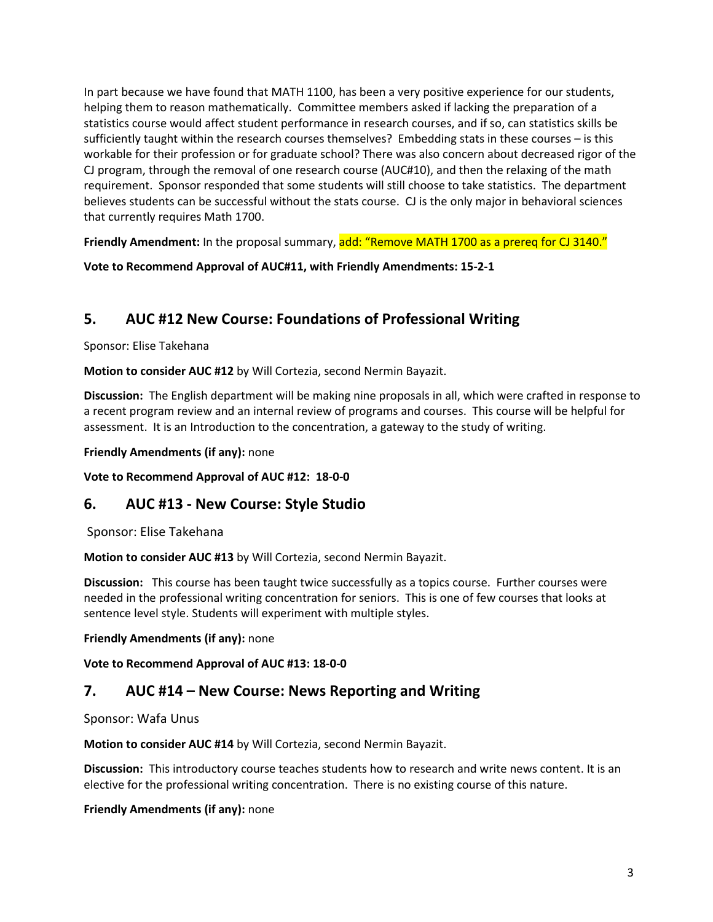In part because we have found that MATH 1100, has been a very positive experience for our students, helping them to reason mathematically. Committee members asked if lacking the preparation of a statistics course would affect student performance in research courses, and if so, can statistics skills be sufficiently taught within the research courses themselves? Embedding stats in these courses – is this workable for their profession or for graduate school? There was also concern about decreased rigor of the CJ program, through the removal of one research course (AUC#10), and then the relaxing of the math requirement. Sponsor responded that some students will still choose to take statistics. The department believes students can be successful without the stats course. CJ is the only major in behavioral sciences that currently requires Math 1700.

**Friendly Amendment:** In the proposal summary, add: "Remove MATH 1700 as a prereq for CJ 3140."

**Vote to Recommend Approval of AUC#11, with Friendly Amendments: 15-2-1**

# **5. AUC #12 New Course: Foundations of Professional Writing**

### Sponsor: Elise Takehana

**Motion to consider AUC #12** by Will Cortezia, second Nermin Bayazit.

**Discussion:** The English department will be making nine proposals in all, which were crafted in response to a recent program review and an internal review of programs and courses. This course will be helpful for assessment. It is an Introduction to the concentration, a gateway to the study of writing.

**Friendly Amendments (if any):** none

**Vote to Recommend Approval of AUC #12: 18-0-0**

## **6. AUC #13 - New Course: Style Studio**

Sponsor: Elise Takehana

**Motion to consider AUC #13** by Will Cortezia, second Nermin Bayazit.

**Discussion:** This course has been taught twice successfully as a topics course. Further courses were needed in the professional writing concentration for seniors. This is one of few courses that looks at sentence level style. Students will experiment with multiple styles.

### **Friendly Amendments (if any):** none

**Vote to Recommend Approval of AUC #13: 18-0-0**

## **7. AUC #14 – New Course: News Reporting and Writing**

Sponsor: Wafa Unus

**Motion to consider AUC #14** by Will Cortezia, second Nermin Bayazit.

**Discussion:** This introductory course teaches students how to research and write news content. It is an elective for the professional writing concentration. There is no existing course of this nature.

### **Friendly Amendments (if any):** none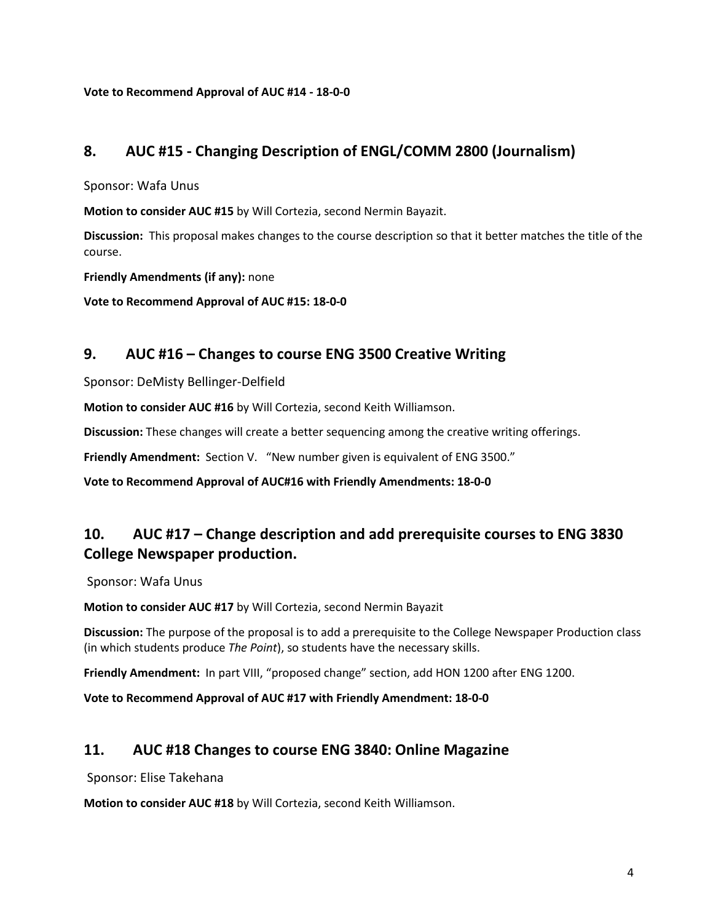**Vote to Recommend Approval of AUC #14 - 18-0-0**

## **8. AUC #15 - Changing Description of ENGL/COMM 2800 (Journalism)**

Sponsor: Wafa Unus

**Motion to consider AUC #15** by Will Cortezia, second Nermin Bayazit.

**Discussion:** This proposal makes changes to the course description so that it better matches the title of the course.

**Friendly Amendments (if any):** none

**Vote to Recommend Approval of AUC #15: 18-0-0**

## **9. AUC #16 – Changes to course ENG 3500 Creative Writing**

Sponsor: DeMisty Bellinger-Delfield

**Motion to consider AUC #16** by Will Cortezia, second Keith Williamson.

**Discussion:** These changes will create a better sequencing among the creative writing offerings.

**Friendly Amendment:** Section V. "New number given is equivalent of ENG 3500."

**Vote to Recommend Approval of AUC#16 with Friendly Amendments: 18-0-0**

# **10. AUC #17 – Change description and add prerequisite courses to ENG 3830 College Newspaper production.**

Sponsor: Wafa Unus

**Motion to consider AUC #17** by Will Cortezia, second Nermin Bayazit

**Discussion:** The purpose of the proposal is to add a prerequisite to the College Newspaper Production class (in which students produce *The Point*), so students have the necessary skills.

**Friendly Amendment:** In part VIII, "proposed change" section, add HON 1200 after ENG 1200.

**Vote to Recommend Approval of AUC #17 with Friendly Amendment: 18-0-0**

## **11. AUC #18 Changes to course ENG 3840: Online Magazine**

Sponsor: Elise Takehana

**Motion to consider AUC #18** by Will Cortezia, second Keith Williamson.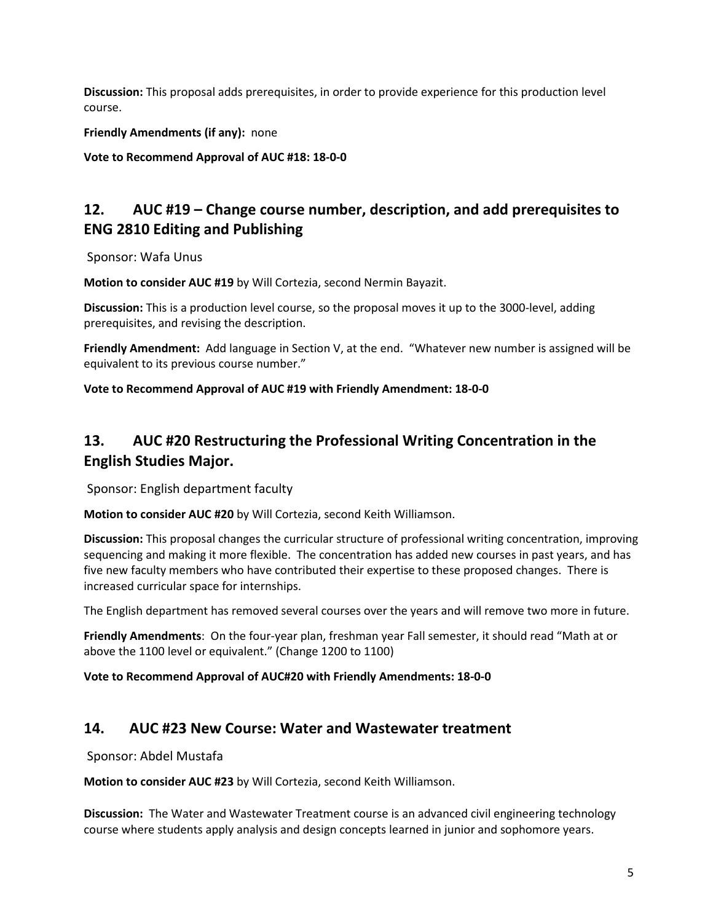**Discussion:** This proposal adds prerequisites, in order to provide experience for this production level course.

**Friendly Amendments (if any):** none

**Vote to Recommend Approval of AUC #18: 18-0-0**

# **12. AUC #19 – Change course number, description, and add prerequisites to ENG 2810 Editing and Publishing**

Sponsor: Wafa Unus

**Motion to consider AUC #19** by Will Cortezia, second Nermin Bayazit.

**Discussion:** This is a production level course, so the proposal moves it up to the 3000-level, adding prerequisites, and revising the description.

**Friendly Amendment:** Add language in Section V, at the end. "Whatever new number is assigned will be equivalent to its previous course number."

**Vote to Recommend Approval of AUC #19 with Friendly Amendment: 18-0-0**

# **13. AUC #20 Restructuring the Professional Writing Concentration in the English Studies Major.**

Sponsor: English department faculty

**Motion to consider AUC #20** by Will Cortezia, second Keith Williamson.

**Discussion:** This proposal changes the curricular structure of professional writing concentration, improving sequencing and making it more flexible. The concentration has added new courses in past years, and has five new faculty members who have contributed their expertise to these proposed changes. There is increased curricular space for internships.

The English department has removed several courses over the years and will remove two more in future.

**Friendly Amendments**: On the four-year plan, freshman year Fall semester, it should read "Math at or above the 1100 level or equivalent." (Change 1200 to 1100)

**Vote to Recommend Approval of AUC#20 with Friendly Amendments: 18-0-0**

## **14. AUC #23 New Course: Water and Wastewater treatment**

Sponsor: Abdel Mustafa

**Motion to consider AUC #23** by Will Cortezia, second Keith Williamson.

**Discussion:** The Water and Wastewater Treatment course is an advanced civil engineering technology course where students apply analysis and design concepts learned in junior and sophomore years.